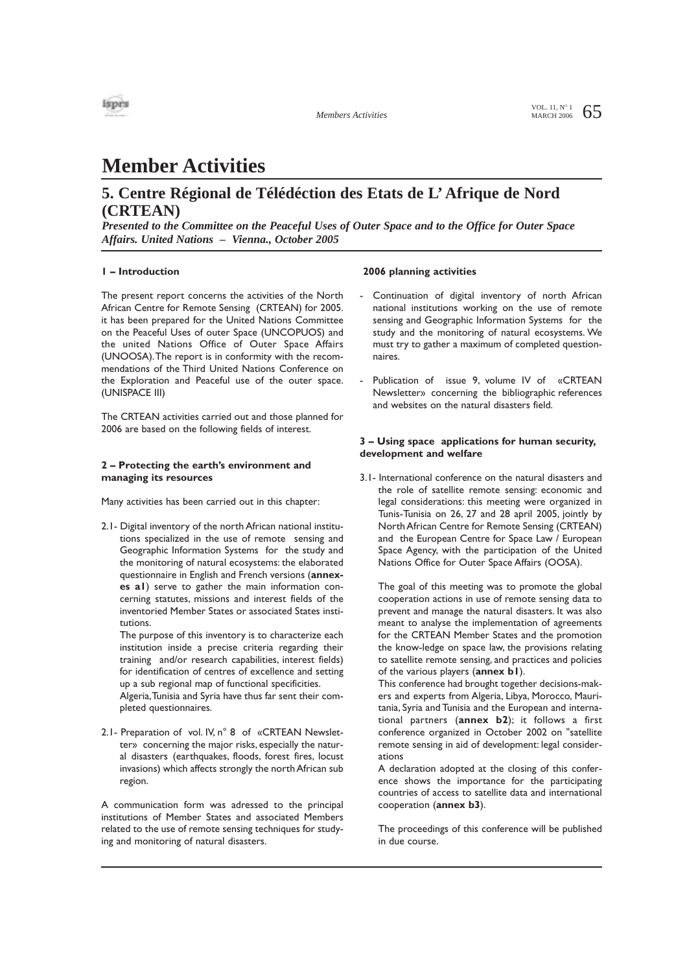

VOL. 11,  $N^{\circ}$  1 65

# **Member Activities**

### **5. Centre Régional de Télédéction des Etats de L' Afrique de Nord (CRTEAN)**

*Presented to the Committee on the Peaceful Uses of Outer Space and to the Office for Outer Space Affairs. United Nations – Vienna., October 2005*

#### **1 – Introduction**

The present report concerns the activities of the North African Centre for Remote Sensing (CRTEAN) for 2005. it has been prepared for the United Nations Committee on the Peaceful Uses of outer Space (UNCOPUOS) and the united Nations Office of Outer Space Affairs (UNOOSA).The report is in conformity with the recommendations of the Third United Nations Conference on the Exploration and Peaceful use of the outer space. (UNISPACE III)

The CRTEAN activities carried out and those planned for 2006 are based on the following fields of interest.

#### **2 – Protecting the earth's environment and managing its resources**

Many activities has been carried out in this chapter:

2.1- Digital inventory of the north African national institutions specialized in the use of remote sensing and Geographic Information Systems for the study and the monitoring of natural ecosystems: the elaborated questionnaire in English and French versions (**annexes a1**) serve to gather the main information concerning statutes, missions and interest fields of the inventoried Member States or associated States institutions.

The purpose of this inventory is to characterize each institution inside a precise criteria regarding their training and/or research capabilities, interest fields) for identification of centres of excellence and setting up a sub regional map of functional specificities.

Algeria,Tunisia and Syria have thus far sent their completed questionnaires.

2.1- Preparation of vol. IV, n° 8 of «CRTEAN Newsletter» concerning the major risks, especially the natural disasters (earthquakes, floods, forest fires, locust invasions) which affects strongly the north African sub region.

A communication form was adressed to the principal institutions of Member States and associated Members related to the use of remote sensing techniques for studying and monitoring of natural disasters.

#### **2006 planning activities**

- Continuation of digital inventory of north African national institutions working on the use of remote sensing and Geographic Information Systems for the study and the monitoring of natural ecosystems. We must try to gather a maximum of completed questionnaires.
- Publication of issue 9, volume IV of «CRTEAN Newsletter» concerning the bibliographic references and websites on the natural disasters field.

#### **3 – Using space applications for human security, development and welfare**

3.1- International conference on the natural disasters and the role of satellite remote sensing: economic and legal considerations: this meeting were organized in Tunis-Tunisia on 26, 27 and 28 april 2005, jointly by North African Centre for Remote Sensing (CRTEAN) and the European Centre for Space Law / European Space Agency, with the participation of the United Nations Office for Outer Space Affairs (OOSA).

The goal of this meeting was to promote the global cooperation actions in use of remote sensing data to prevent and manage the natural disasters. It was also meant to analyse the implementation of agreements for the CRTEAN Member States and the promotion the know-ledge on space law, the provisions relating to satellite remote sensing, and practices and policies of the various players (**annex b1**).

This conference had brought together decisions-makers and experts from Algeria, Libya, Morocco, Mauritania, Syria and Tunisia and the European and international partners (**annex b2**); it follows a first conference organized in October 2002 on "satellite remote sensing in aid of development: legal considerations

A declaration adopted at the closing of this conference shows the importance for the participating countries of access to satellite data and international cooperation (**annex b3**).

The proceedings of this conference will be published in due course.